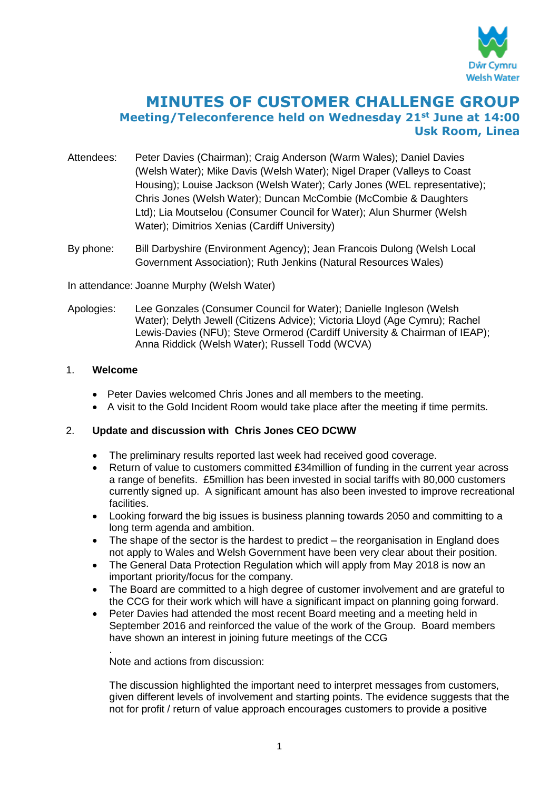

# **MINUTES OF CUSTOMER CHALLENGE GROUP Meeting/Teleconference held on Wednesday 21st June at 14:00 Usk Room, Linea**

- Attendees: Peter Davies (Chairman); Craig Anderson (Warm Wales); Daniel Davies (Welsh Water); Mike Davis (Welsh Water); Nigel Draper (Valleys to Coast Housing); Louise Jackson (Welsh Water); Carly Jones (WEL representative); Chris Jones (Welsh Water); Duncan McCombie (McCombie & Daughters Ltd); Lia Moutselou (Consumer Council for Water); Alun Shurmer (Welsh Water); Dimitrios Xenias (Cardiff University)
- By phone: Bill Darbyshire (Environment Agency); Jean Francois Dulong (Welsh Local Government Association); Ruth Jenkins (Natural Resources Wales)

In attendance: Joanne Murphy (Welsh Water)

Apologies: Lee Gonzales (Consumer Council for Water); Danielle Ingleson (Welsh Water); Delyth Jewell (Citizens Advice); Victoria Lloyd (Age Cymru); Rachel Lewis-Davies (NFU); Steve Ormerod (Cardiff University & Chairman of IEAP); Anna Riddick (Welsh Water); Russell Todd (WCVA)

#### 1. **Welcome**

- Peter Davies welcomed Chris Jones and all members to the meeting.
- A visit to the Gold Incident Room would take place after the meeting if time permits.

#### 2. **Update and discussion with Chris Jones CEO DCWW**

- The preliminary results reported last week had received good coverage.
- Return of value to customers committed £34million of funding in the current year across a range of benefits. £5million has been invested in social tariffs with 80,000 customers currently signed up. A significant amount has also been invested to improve recreational facilities.
- Looking forward the big issues is business planning towards 2050 and committing to a long term agenda and ambition.
- The shape of the sector is the hardest to predict the reorganisation in England does not apply to Wales and Welsh Government have been very clear about their position.
- The General Data Protection Regulation which will apply from May 2018 is now an important priority/focus for the company.
- The Board are committed to a high degree of customer involvement and are grateful to the CCG for their work which will have a significant impact on planning going forward.
- Peter Davies had attended the most recent Board meeting and a meeting held in September 2016 and reinforced the value of the work of the Group. Board members have shown an interest in joining future meetings of the CCG

. Note and actions from discussion:

The discussion highlighted the important need to interpret messages from customers, given different levels of involvement and starting points. The evidence suggests that the not for profit / return of value approach encourages customers to provide a positive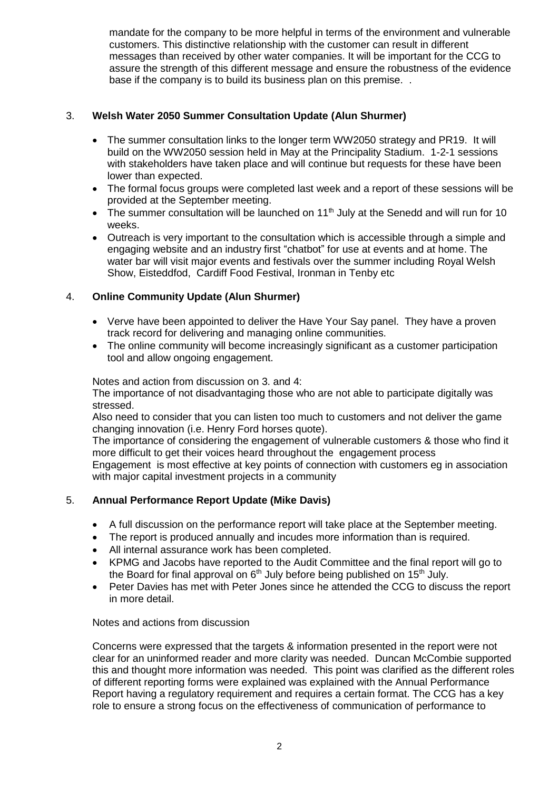mandate for the company to be more helpful in terms of the environment and vulnerable customers. This distinctive relationship with the customer can result in different messages than received by other water companies. It will be important for the CCG to assure the strength of this different message and ensure the robustness of the evidence base if the company is to build its business plan on this premise. .

## 3. **Welsh Water 2050 Summer Consultation Update (Alun Shurmer)**

- The summer consultation links to the longer term WW2050 strategy and PR19. It will build on the WW2050 session held in May at the Principality Stadium. 1-2-1 sessions with stakeholders have taken place and will continue but requests for these have been lower than expected.
- The formal focus groups were completed last week and a report of these sessions will be provided at the September meeting.
- The summer consultation will be launched on  $11<sup>th</sup>$  July at the Senedd and will run for 10 weeks.
- Outreach is very important to the consultation which is accessible through a simple and engaging website and an industry first "chatbot" for use at events and at home. The water bar will visit major events and festivals over the summer including Royal Welsh Show, Eisteddfod, Cardiff Food Festival, Ironman in Tenby etc

## 4. **Online Community Update (Alun Shurmer)**

- Verve have been appointed to deliver the Have Your Say panel. They have a proven track record for delivering and managing online communities.
- The online community will become increasingly significant as a customer participation tool and allow ongoing engagement.

Notes and action from discussion on 3. and 4:

The importance of not disadvantaging those who are not able to participate digitally was stressed.

Also need to consider that you can listen too much to customers and not deliver the game changing innovation (i.e. Henry Ford horses quote).

The importance of considering the engagement of vulnerable customers & those who find it more difficult to get their voices heard throughout the engagement process

Engagement is most effective at key points of connection with customers eg in association with major capital investment projects in a community

## 5. **Annual Performance Report Update (Mike Davis)**

- A full discussion on the performance report will take place at the September meeting.
- The report is produced annually and incudes more information than is required.
- All internal assurance work has been completed.
- KPMG and Jacobs have reported to the Audit Committee and the final report will go to the Board for final approval on  $6<sup>th</sup>$  July before being published on 15<sup>th</sup> July.
- Peter Davies has met with Peter Jones since he attended the CCG to discuss the report in more detail.

#### Notes and actions from discussion

Concerns were expressed that the targets & information presented in the report were not clear for an uninformed reader and more clarity was needed. Duncan McCombie supported this and thought more information was needed. This point was clarified as the different roles of different reporting forms were explained was explained with the Annual Performance Report having a regulatory requirement and requires a certain format. The CCG has a key role to ensure a strong focus on the effectiveness of communication of performance to